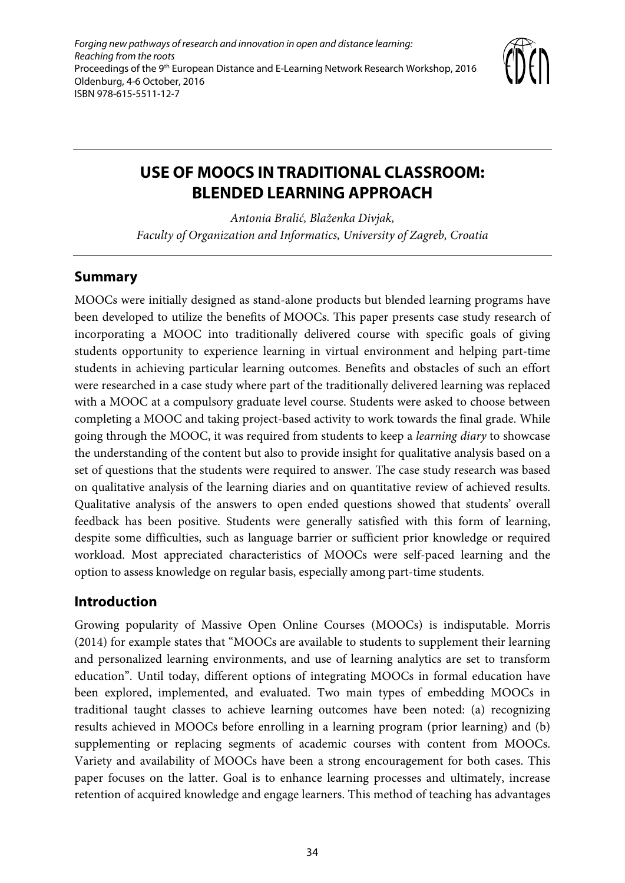*Forging new pathways of research and innovation in open and distance learning: Reaching from the roots* Proceedings of the 9<sup>th</sup> European Distance and E-Learning Network Research Workshop, 2016 Oldenburg, 4-6 October, 2016 ISBN 978-615-5511-12-7



# **USE OF MOOCS IN TRADITIONAL CLASSROOM: BLENDED LEARNING APPROACH**

*Antonia Bralić, Blaženka Divjak, Faculty of Organization and Informatics, University of Zagreb, Croatia*

### **Summary**

MOOCs were initially designed as stand-alone products but blended learning programs have been developed to utilize the benefits of MOOCs. This paper presents case study research of incorporating a MOOC into traditionally delivered course with specific goals of giving students opportunity to experience learning in virtual environment and helping part-time students in achieving particular learning outcomes. Benefits and obstacles of such an effort were researched in a case study where part of the traditionally delivered learning was replaced with a MOOC at a compulsory graduate level course. Students were asked to choose between completing a MOOC and taking project-based activity to work towards the final grade. While going through the MOOC, it was required from students to keep a *learning diary* to showcase the understanding of the content but also to provide insight for qualitative analysis based on a set of questions that the students were required to answer. The case study research was based on qualitative analysis of the learning diaries and on quantitative review of achieved results. Qualitative analysis of the answers to open ended questions showed that students' overall feedback has been positive. Students were generally satisfied with this form of learning, despite some difficulties, such as language barrier or sufficient prior knowledge or required workload. Most appreciated characteristics of MOOCs were self-paced learning and the option to assess knowledge on regular basis, especially among part-time students.

### **Introduction**

Growing popularity of Massive Open Online Courses (MOOCs) is indisputable. Morris (2014) for example states that "MOOCs are available to students to supplement their learning and personalized learning environments, and use of learning analytics are set to transform education". Until today, different options of integrating MOOCs in formal education have been explored, implemented, and evaluated. Two main types of embedding MOOCs in traditional taught classes to achieve learning outcomes have been noted: (a) recognizing results achieved in MOOCs before enrolling in a learning program (prior learning) and (b) supplementing or replacing segments of academic courses with content from MOOCs. Variety and availability of MOOCs have been a strong encouragement for both cases. This paper focuses on the latter. Goal is to enhance learning processes and ultimately, increase retention of acquired knowledge and engage learners. This method of teaching has advantages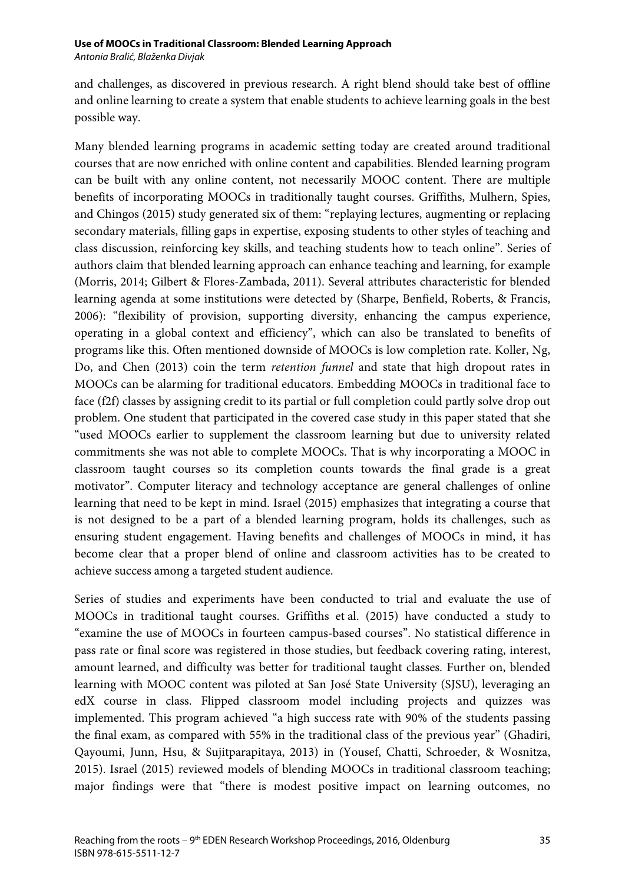*Antonia Bralić, Blaženka Divjak*

and challenges, as discovered in previous research. A right blend should take best of offline and online learning to create a system that enable students to achieve learning goals in the best possible way.

Many blended learning programs in academic setting today are created around traditional courses that are now enriched with online content and capabilities. Blended learning program can be built with any online content, not necessarily MOOC content. There are multiple benefits of incorporating MOOCs in traditionally taught courses. Griffiths, Mulhern, Spies, and Chingos (2015) study generated six of them: "replaying lectures, augmenting or replacing secondary materials, filling gaps in expertise, exposing students to other styles of teaching and class discussion, reinforcing key skills, and teaching students how to teach online". Series of authors claim that blended learning approach can enhance teaching and learning, for example (Morris, 2014; Gilbert & Flores-Zambada, 2011). Several attributes characteristic for blended learning agenda at some institutions were detected by (Sharpe, Benfield, Roberts, & Francis, 2006): "flexibility of provision, supporting diversity, enhancing the campus experience, operating in a global context and efficiency", which can also be translated to benefits of programs like this. Often mentioned downside of MOOCs is low completion rate. Koller, Ng, Do, and Chen (2013) coin the term *retention funnel* and state that high dropout rates in MOOCs can be alarming for traditional educators. Embedding MOOCs in traditional face to face (f2f) classes by assigning credit to its partial or full completion could partly solve drop out problem. One student that participated in the covered case study in this paper stated that she "used MOOCs earlier to supplement the classroom learning but due to university related commitments she was not able to complete MOOCs. That is why incorporating a MOOC in classroom taught courses so its completion counts towards the final grade is a great motivator". Computer literacy and technology acceptance are general challenges of online learning that need to be kept in mind. Israel (2015) emphasizes that integrating a course that is not designed to be a part of a blended learning program, holds its challenges, such as ensuring student engagement. Having benefits and challenges of MOOCs in mind, it has become clear that a proper blend of online and classroom activities has to be created to achieve success among a targeted student audience.

Series of studies and experiments have been conducted to trial and evaluate the use of MOOCs in traditional taught courses. Griffiths et al. (2015) have conducted a study to "examine the use of MOOCs in fourteen campus-based courses". No statistical difference in pass rate or final score was registered in those studies, but feedback covering rating, interest, amount learned, and difficulty was better for traditional taught classes. Further on, blended learning with MOOC content was piloted at San José State University (SJSU), leveraging an edX course in class. Flipped classroom model including projects and quizzes was implemented. This program achieved "a high success rate with 90% of the students passing the final exam, as compared with 55% in the traditional class of the previous year" (Ghadiri, Qayoumi, Junn, Hsu, & Sujitparapitaya, 2013) in (Yousef, Chatti, Schroeder, & Wosnitza, 2015). Israel (2015) reviewed models of blending MOOCs in traditional classroom teaching; major findings were that "there is modest positive impact on learning outcomes, no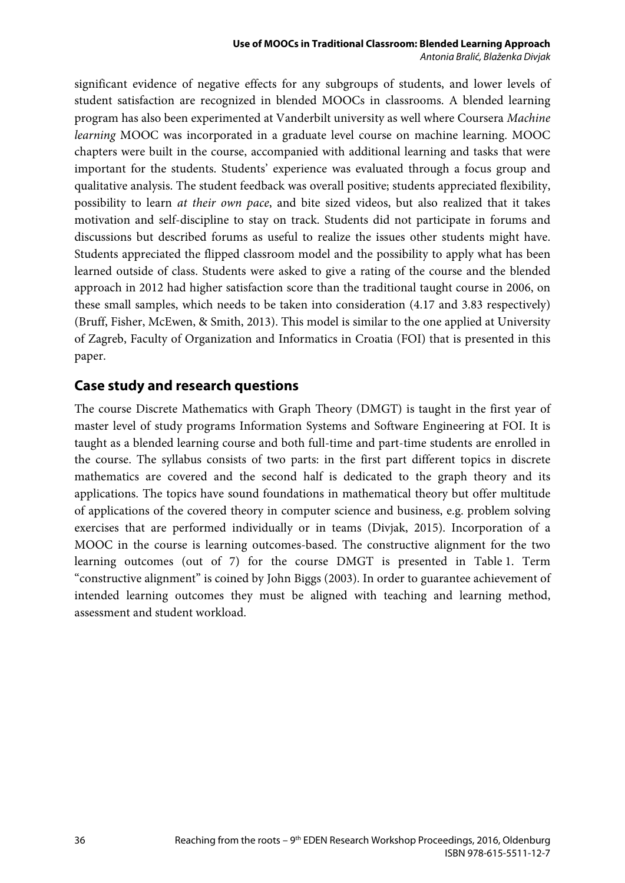significant evidence of negative effects for any subgroups of students, and lower levels of student satisfaction are recognized in blended MOOCs in classrooms. A blended learning program has also been experimented at Vanderbilt university as well where Coursera *Machine learning* MOOC was incorporated in a graduate level course on machine learning. MOOC chapters were built in the course, accompanied with additional learning and tasks that were important for the students. Students' experience was evaluated through a focus group and qualitative analysis. The student feedback was overall positive; students appreciated flexibility, possibility to learn *at their own pace*, and bite sized videos, but also realized that it takes motivation and self-discipline to stay on track. Students did not participate in forums and discussions but described forums as useful to realize the issues other students might have. Students appreciated the flipped classroom model and the possibility to apply what has been learned outside of class. Students were asked to give a rating of the course and the blended approach in 2012 had higher satisfaction score than the traditional taught course in 2006, on these small samples, which needs to be taken into consideration (4.17 and 3.83 respectively) (Bruff, Fisher, McEwen, & Smith, 2013). This model is similar to the one applied at University of Zagreb, Faculty of Organization and Informatics in Croatia (FOI) that is presented in this paper.

### **Case study and research questions**

The course Discrete Mathematics with Graph Theory (DMGT) is taught in the first year of master level of study programs Information Systems and Software Engineering at FOI. It is taught as a blended learning course and both full-time and part-time students are enrolled in the course. The syllabus consists of two parts: in the first part different topics in discrete mathematics are covered and the second half is dedicated to the graph theory and its applications. The topics have sound foundations in mathematical theory but offer multitude of applications of the covered theory in computer science and business, e.g. problem solving exercises that are performed individually or in teams (Divjak, 2015). Incorporation of a MOOC in the course is learning outcomes-based. The constructive alignment for the two learning outcomes (out of 7) for the course DMGT is presented in Table 1. Term "constructive alignment" is coined by John Biggs (2003). In order to guarantee achievement of intended learning outcomes they must be aligned with teaching and learning method, assessment and student workload.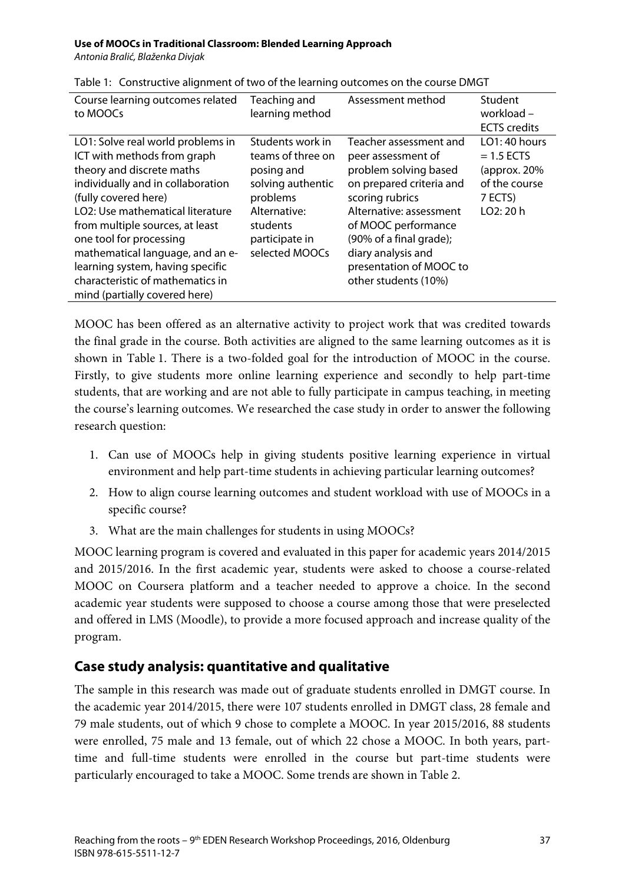*Antonia Bralić, Blaženka Divjak*

| Course learning outcomes related<br>to MOOCs                                                                                                                                                                                                                                                                                                                                                              | Teaching and<br>learning method                                                                                                                      | Assessment method                                                                                                                                                                                                                                                          | Student<br>workload -<br><b>ECTS</b> credits                                             |
|-----------------------------------------------------------------------------------------------------------------------------------------------------------------------------------------------------------------------------------------------------------------------------------------------------------------------------------------------------------------------------------------------------------|------------------------------------------------------------------------------------------------------------------------------------------------------|----------------------------------------------------------------------------------------------------------------------------------------------------------------------------------------------------------------------------------------------------------------------------|------------------------------------------------------------------------------------------|
| LO1: Solve real world problems in<br>ICT with methods from graph<br>theory and discrete maths<br>individually and in collaboration<br>(fully covered here)<br>LO2: Use mathematical literature<br>from multiple sources, at least<br>one tool for processing<br>mathematical language, and an e-<br>learning system, having specific<br>characteristic of mathematics in<br>mind (partially covered here) | Students work in<br>teams of three on<br>posing and<br>solving authentic<br>problems<br>Alternative:<br>students<br>participate in<br>selected MOOCs | Teacher assessment and<br>peer assessment of<br>problem solving based<br>on prepared criteria and<br>scoring rubrics<br>Alternative: assessment<br>of MOOC performance<br>(90% of a final grade);<br>diary analysis and<br>presentation of MOOC to<br>other students (10%) | LO1: 40 hours<br>$= 1.5$ ECTS<br>(approx. $20%$<br>of the course<br>7 ECTS)<br>LO2: 20 h |

Table 1: Constructive alignment of two of the learning outcomes on the course DMGT

MOOC has been offered as an alternative activity to project work that was credited towards the final grade in the course. Both activities are aligned to the same learning outcomes as it is shown in Table 1. There is a two-folded goal for the introduction of MOOC in the course. Firstly, to give students more online learning experience and secondly to help part-time students, that are working and are not able to fully participate in campus teaching, in meeting the course's learning outcomes. We researched the case study in order to answer the following research question:

- 1. Can use of MOOCs help in giving students positive learning experience in virtual environment and help part-time students in achieving particular learning outcomes?
- 2. How to align course learning outcomes and student workload with use of MOOCs in a specific course?
- 3. What are the main challenges for students in using MOOCs?

MOOC learning program is covered and evaluated in this paper for academic years 2014/2015 and 2015/2016. In the first academic year, students were asked to choose a course-related MOOC on Coursera platform and a teacher needed to approve a choice. In the second academic year students were supposed to choose a course among those that were preselected and offered in LMS (Moodle), to provide a more focused approach and increase quality of the program.

### **Case study analysis: quantitative and qualitative**

The sample in this research was made out of graduate students enrolled in DMGT course. In the academic year 2014/2015, there were 107 students enrolled in DMGT class, 28 female and 79 male students, out of which 9 chose to complete a MOOC. In year 2015/2016, 88 students were enrolled, 75 male and 13 female, out of which 22 chose a MOOC. In both years, parttime and full-time students were enrolled in the course but part-time students were particularly encouraged to take a MOOC. Some trends are shown in Table 2.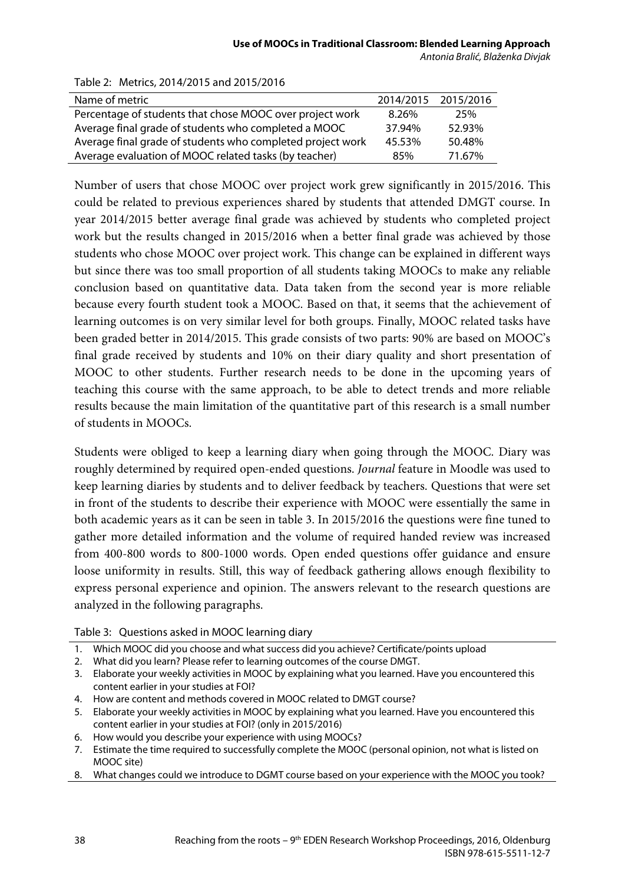| Name of metric                                             | 2014/2015 2015/2016 |        |
|------------------------------------------------------------|---------------------|--------|
| Percentage of students that chose MOOC over project work   | 8.26%               | 25%    |
| Average final grade of students who completed a MOOC       | 37.94%              | 52.93% |
| Average final grade of students who completed project work | 45.53%              | 50.48% |
| Average evaluation of MOOC related tasks (by teacher)      | 85%                 | 71.67% |

#### Table 2: Metrics, 2014/2015 and 2015/2016

Number of users that chose MOOC over project work grew significantly in 2015/2016. This could be related to previous experiences shared by students that attended DMGT course. In year 2014/2015 better average final grade was achieved by students who completed project work but the results changed in 2015/2016 when a better final grade was achieved by those students who chose MOOC over project work. This change can be explained in different ways but since there was too small proportion of all students taking MOOCs to make any reliable conclusion based on quantitative data. Data taken from the second year is more reliable because every fourth student took a MOOC. Based on that, it seems that the achievement of learning outcomes is on very similar level for both groups. Finally, MOOC related tasks have been graded better in 2014/2015. This grade consists of two parts: 90% are based on MOOC's final grade received by students and 10% on their diary quality and short presentation of MOOC to other students. Further research needs to be done in the upcoming years of teaching this course with the same approach, to be able to detect trends and more reliable results because the main limitation of the quantitative part of this research is a small number of students in MOOCs.

Students were obliged to keep a learning diary when going through the MOOC. Diary was roughly determined by required open-ended questions. *Journal* feature in Moodle was used to keep learning diaries by students and to deliver feedback by teachers. Questions that were set in front of the students to describe their experience with MOOC were essentially the same in both academic years as it can be seen in table 3. In 2015/2016 the questions were fine tuned to gather more detailed information and the volume of required handed review was increased from 400-800 words to 800-1000 words. Open ended questions offer guidance and ensure loose uniformity in results. Still, this way of feedback gathering allows enough flexibility to express personal experience and opinion. The answers relevant to the research questions are analyzed in the following paragraphs.

Table 3: Questions asked in MOOC learning diary

- 1. Which MOOC did you choose and what success did you achieve? Certificate/points upload
- 2. What did you learn? Please refer to learning outcomes of the course DMGT.
- 3. Elaborate your weekly activities in MOOC by explaining what you learned. Have you encountered this content earlier in your studies at FOI?
- 4. How are content and methods covered in MOOC related to DMGT course?
- 5. Elaborate your weekly activities in MOOC by explaining what you learned. Have you encountered this content earlier in your studies at FOI? (only in 2015/2016)
- 6. How would you describe your experience with using MOOCs?
- 7. Estimate the time required to successfully complete the MOOC (personal opinion, not what is listed on MOOC site)
- 8. What changes could we introduce to DGMT course based on your experience with the MOOC you took?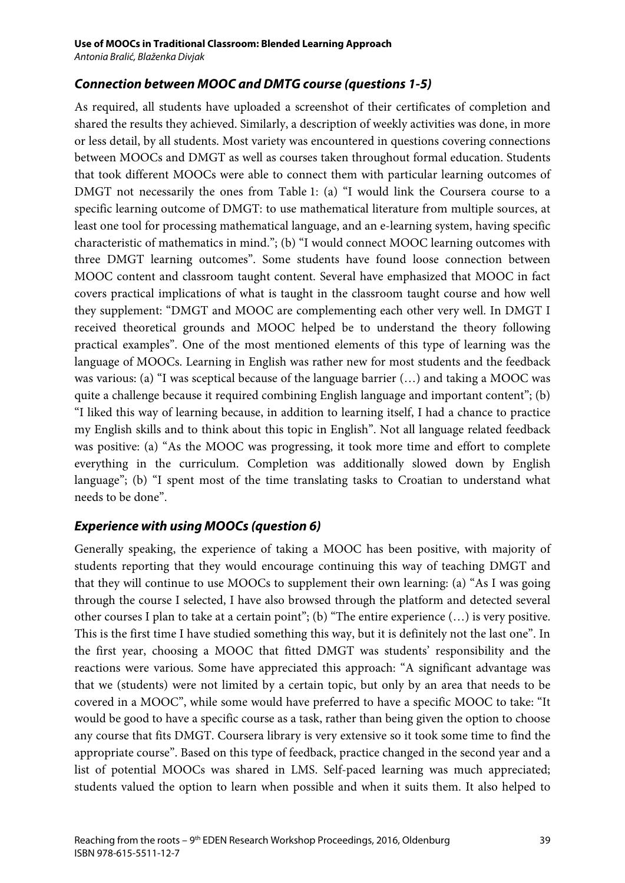### *Connection between MOOC and DMTG course (questions 1-5)*

As required, all students have uploaded a screenshot of their certificates of completion and shared the results they achieved. Similarly, a description of weekly activities was done, in more or less detail, by all students. Most variety was encountered in questions covering connections between MOOCs and DMGT as well as courses taken throughout formal education. Students that took different MOOCs were able to connect them with particular learning outcomes of DMGT not necessarily the ones from Table 1: (a) "I would link the Coursera course to a specific learning outcome of DMGT: to use mathematical literature from multiple sources, at least one tool for processing mathematical language, and an e-learning system, having specific characteristic of mathematics in mind."; (b) "I would connect MOOC learning outcomes with three DMGT learning outcomes". Some students have found loose connection between MOOC content and classroom taught content. Several have emphasized that MOOC in fact covers practical implications of what is taught in the classroom taught course and how well they supplement: "DMGT and MOOC are complementing each other very well. In DMGT I received theoretical grounds and MOOC helped be to understand the theory following practical examples". One of the most mentioned elements of this type of learning was the language of MOOCs. Learning in English was rather new for most students and the feedback was various: (a) "I was sceptical because of the language barrier (…) and taking a MOOC was quite a challenge because it required combining English language and important content"; (b) "I liked this way of learning because, in addition to learning itself, I had a chance to practice my English skills and to think about this topic in English". Not all language related feedback was positive: (a) "As the MOOC was progressing, it took more time and effort to complete everything in the curriculum. Completion was additionally slowed down by English language"; (b) "I spent most of the time translating tasks to Croatian to understand what needs to be done".

### *Experience with using MOOCs (question 6)*

Generally speaking, the experience of taking a MOOC has been positive, with majority of students reporting that they would encourage continuing this way of teaching DMGT and that they will continue to use MOOCs to supplement their own learning: (a) "As I was going through the course I selected, I have also browsed through the platform and detected several other courses I plan to take at a certain point"; (b) "The entire experience (…) is very positive. This is the first time I have studied something this way, but it is definitely not the last one". In the first year, choosing a MOOC that fitted DMGT was students' responsibility and the reactions were various. Some have appreciated this approach: "A significant advantage was that we (students) were not limited by a certain topic, but only by an area that needs to be covered in a MOOC", while some would have preferred to have a specific MOOC to take: "It would be good to have a specific course as a task, rather than being given the option to choose any course that fits DMGT. Coursera library is very extensive so it took some time to find the appropriate course". Based on this type of feedback, practice changed in the second year and a list of potential MOOCs was shared in LMS. Self-paced learning was much appreciated; students valued the option to learn when possible and when it suits them. It also helped to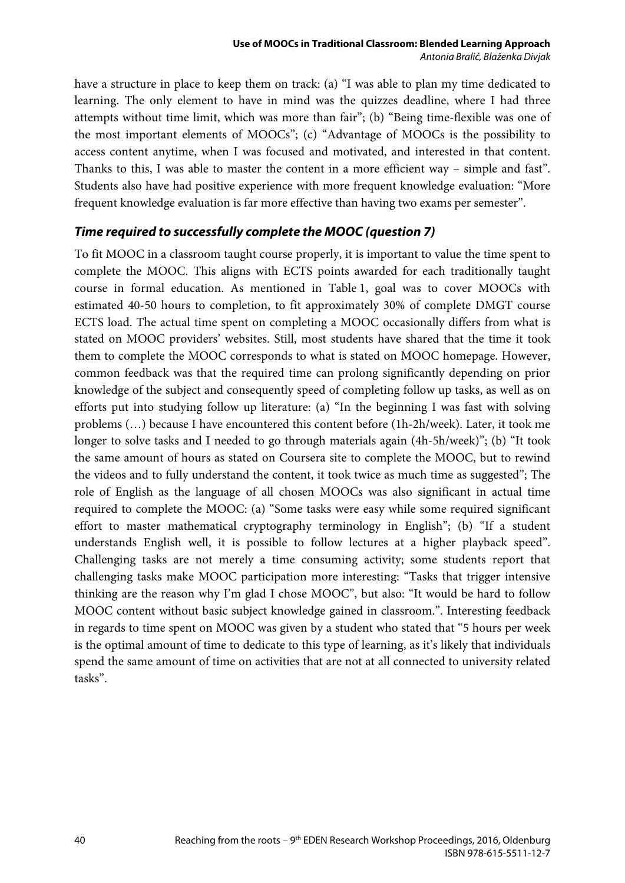have a structure in place to keep them on track: (a) "I was able to plan my time dedicated to learning. The only element to have in mind was the quizzes deadline, where I had three attempts without time limit, which was more than fair"; (b) "Being time-flexible was one of the most important elements of MOOCs"; (c) "Advantage of MOOCs is the possibility to access content anytime, when I was focused and motivated, and interested in that content. Thanks to this, I was able to master the content in a more efficient way – simple and fast". Students also have had positive experience with more frequent knowledge evaluation: "More frequent knowledge evaluation is far more effective than having two exams per semester".

### *Time required to successfully complete the MOOC (question 7)*

To fit MOOC in a classroom taught course properly, it is important to value the time spent to complete the MOOC. This aligns with ECTS points awarded for each traditionally taught course in formal education. As mentioned in Table 1, goal was to cover MOOCs with estimated 40-50 hours to completion, to fit approximately 30% of complete DMGT course ECTS load. The actual time spent on completing a MOOC occasionally differs from what is stated on MOOC providers' websites. Still, most students have shared that the time it took them to complete the MOOC corresponds to what is stated on MOOC homepage. However, common feedback was that the required time can prolong significantly depending on prior knowledge of the subject and consequently speed of completing follow up tasks, as well as on efforts put into studying follow up literature: (a) "In the beginning I was fast with solving problems (…) because I have encountered this content before (1h-2h/week). Later, it took me longer to solve tasks and I needed to go through materials again (4h-5h/week)"; (b) "It took the same amount of hours as stated on Coursera site to complete the MOOC, but to rewind the videos and to fully understand the content, it took twice as much time as suggested"; The role of English as the language of all chosen MOOCs was also significant in actual time required to complete the MOOC: (a) "Some tasks were easy while some required significant effort to master mathematical cryptography terminology in English"; (b) "If a student understands English well, it is possible to follow lectures at a higher playback speed". Challenging tasks are not merely a time consuming activity; some students report that challenging tasks make MOOC participation more interesting: "Tasks that trigger intensive thinking are the reason why I'm glad I chose MOOC", but also: "It would be hard to follow MOOC content without basic subject knowledge gained in classroom.". Interesting feedback in regards to time spent on MOOC was given by a student who stated that "5 hours per week is the optimal amount of time to dedicate to this type of learning, as it's likely that individuals spend the same amount of time on activities that are not at all connected to university related tasks".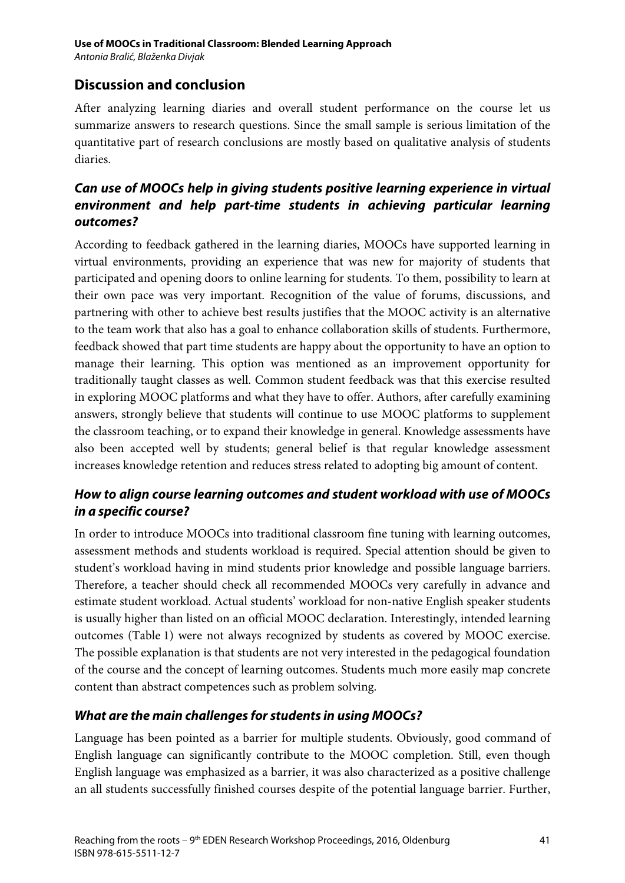## **Discussion and conclusion**

After analyzing learning diaries and overall student performance on the course let us summarize answers to research questions. Since the small sample is serious limitation of the quantitative part of research conclusions are mostly based on qualitative analysis of students diaries.

### *Can use of MOOCs help in giving students positive learning experience in virtual environment and help part-time students in achieving particular learning outcomes?*

According to feedback gathered in the learning diaries, MOOCs have supported learning in virtual environments, providing an experience that was new for majority of students that participated and opening doors to online learning for students. To them, possibility to learn at their own pace was very important. Recognition of the value of forums, discussions, and partnering with other to achieve best results justifies that the MOOC activity is an alternative to the team work that also has a goal to enhance collaboration skills of students. Furthermore, feedback showed that part time students are happy about the opportunity to have an option to manage their learning. This option was mentioned as an improvement opportunity for traditionally taught classes as well. Common student feedback was that this exercise resulted in exploring MOOC platforms and what they have to offer. Authors, after carefully examining answers, strongly believe that students will continue to use MOOC platforms to supplement the classroom teaching, or to expand their knowledge in general. Knowledge assessments have also been accepted well by students; general belief is that regular knowledge assessment increases knowledge retention and reduces stress related to adopting big amount of content.

### *How to align course learning outcomes and student workload with use of MOOCs in a specific course?*

In order to introduce MOOCs into traditional classroom fine tuning with learning outcomes, assessment methods and students workload is required. Special attention should be given to student's workload having in mind students prior knowledge and possible language barriers. Therefore, a teacher should check all recommended MOOCs very carefully in advance and estimate student workload. Actual students' workload for non-native English speaker students is usually higher than listed on an official MOOC declaration. Interestingly, intended learning outcomes (Table 1) were not always recognized by students as covered by MOOC exercise. The possible explanation is that students are not very interested in the pedagogical foundation of the course and the concept of learning outcomes. Students much more easily map concrete content than abstract competences such as problem solving.

### *What are the main challenges for students in using MOOCs?*

Language has been pointed as a barrier for multiple students. Obviously, good command of English language can significantly contribute to the MOOC completion. Still, even though English language was emphasized as a barrier, it was also characterized as a positive challenge an all students successfully finished courses despite of the potential language barrier. Further,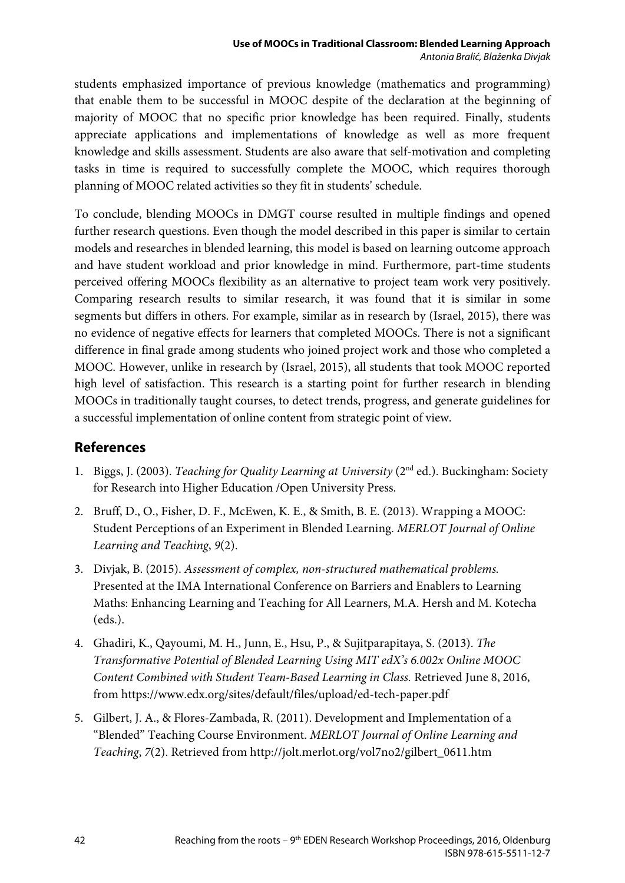students emphasized importance of previous knowledge (mathematics and programming) that enable them to be successful in MOOC despite of the declaration at the beginning of majority of MOOC that no specific prior knowledge has been required. Finally, students appreciate applications and implementations of knowledge as well as more frequent knowledge and skills assessment. Students are also aware that self-motivation and completing tasks in time is required to successfully complete the MOOC, which requires thorough planning of MOOC related activities so they fit in students' schedule.

To conclude, blending MOOCs in DMGT course resulted in multiple findings and opened further research questions. Even though the model described in this paper is similar to certain models and researches in blended learning, this model is based on learning outcome approach and have student workload and prior knowledge in mind. Furthermore, part-time students perceived offering MOOCs flexibility as an alternative to project team work very positively. Comparing research results to similar research, it was found that it is similar in some segments but differs in others. For example, similar as in research by (Israel, 2015), there was no evidence of negative effects for learners that completed MOOCs. There is not a significant difference in final grade among students who joined project work and those who completed a MOOC. However, unlike in research by (Israel, 2015), all students that took MOOC reported high level of satisfaction. This research is a starting point for further research in blending MOOCs in traditionally taught courses, to detect trends, progress, and generate guidelines for a successful implementation of online content from strategic point of view.

### **References**

- 1. Biggs, J. (2003). *Teaching for Quality Learning at University* (2nd ed.). Buckingham: Society for Research into Higher Education /Open University Press.
- 2. Bruff, D., O., Fisher, D. F., McEwen, K. E., & Smith, B. E. (2013). Wrapping a MOOC: Student Perceptions of an Experiment in Blended Learning. *MERLOT Journal of Online Learning and Teaching*, *9*(2).
- 3. Divjak, B. (2015). *Assessment of complex, non-structured mathematical problems.* Presented at the IMA International Conference on Barriers and Enablers to Learning Maths: Enhancing Learning and Teaching for All Learners, M.A. Hersh and M. Kotecha (eds.).
- 4. Ghadiri, K., Qayoumi, M. H., Junn, E., Hsu, P., & Sujitparapitaya, S. (2013). *The Transformative Potential of Blended Learning Using MIT edX's 6.002x Online MOOC Content Combined with Student Team-Based Learning in Class.* Retrieved June 8, 2016, from https://www.edx.org/sites/default/files/upload/ed-tech-paper.pdf
- 5. Gilbert, J. A., & Flores-Zambada, R. (2011). Development and Implementation of a "Blended" Teaching Course Environment. *MERLOT Journal of Online Learning and Teaching*, *7*(2). Retrieved from http://jolt.merlot.org/vol7no2/gilbert\_0611.htm